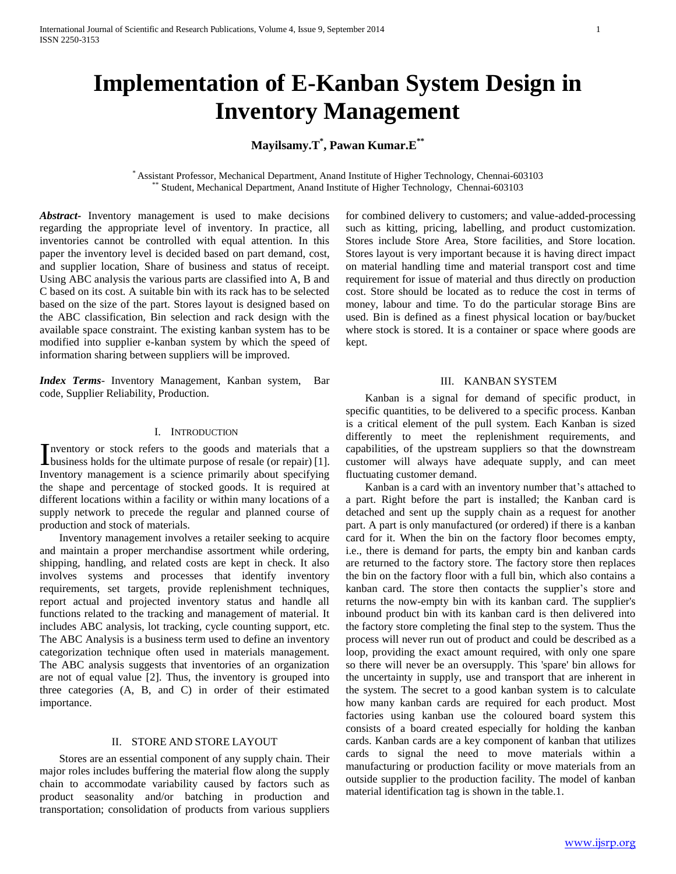# **Implementation of E-Kanban System Design in Inventory Management**

## **Mayilsamy.T\* , Pawan Kumar.E\*\***

\* Assistant Professor, Mechanical Department, Anand Institute of Higher Technology, Chennai-603103 Student, Mechanical Department, Anand Institute of Higher Technology, Chennai-603103

*Abstract***-** Inventory management is used to make decisions regarding the appropriate level of inventory. In practice, all inventories cannot be controlled with equal attention. In this paper the inventory level is decided based on part demand, cost, and supplier location, Share of business and status of receipt. Using ABC analysis the various parts are classified into A, B and C based on its cost. A suitable bin with its rack has to be selected based on the size of the part. Stores layout is designed based on the ABC classification, Bin selection and rack design with the available space constraint. The existing kanban system has to be modified into supplier e-kanban system by which the speed of information sharing between suppliers will be improved.

*Index Terms*- Inventory Management, Kanban system, Bar code, Supplier Reliability, Production.

## I. INTRODUCTION

nventory or stock refers to the goods and materials that a Inventory or stock refers to the goods and materials that a business holds for the ultimate purpose of resale (or repair) [1]. Inventory management is a science primarily about specifying the shape and percentage of stocked goods. It is required at different locations within a facility or within many locations of a supply network to precede the regular and planned course of production and stock of materials.

 Inventory management involves a retailer seeking to acquire and maintain a proper merchandise assortment while ordering, shipping, handling, and related costs are kept in check. It also involves systems and processes that identify inventory requirements, set targets, provide replenishment techniques, report actual and projected inventory status and handle all functions related to the tracking and management of material. It includes ABC analysis, lot tracking, cycle counting support, etc. The ABC Analysis is a business term used to define an inventory categorization technique often used in materials management. The ABC analysis suggests that inventories of an organization are not of equal value [2]. Thus, the inventory is grouped into three categories (A, B, and C) in order of their estimated importance.

## II. STORE AND STORE LAYOUT

 Stores are an essential component of any supply chain. Their major roles includes buffering the material flow along the supply chain to accommodate variability caused by factors such as product seasonality and/or batching in production and transportation; consolidation of products from various suppliers for combined delivery to customers; and value-added-processing such as kitting, pricing, labelling, and product customization. Stores include Store Area, Store facilities, and Store location. Stores layout is very important because it is having direct impact on material handling time and material transport cost and time requirement for issue of material and thus directly on production cost. Store should be located as to reduce the cost in terms of money, labour and time. To do the particular storage Bins are used. Bin is defined as a finest physical location or bay/bucket where stock is stored. It is a container or space where goods are kept.

## III. KANBAN SYSTEM

 Kanban is a signal for demand of specific product, in specific quantities, to be delivered to a specific process. Kanban is a critical element of the pull system. Each Kanban is sized differently to meet the replenishment requirements, and capabilities, of the upstream suppliers so that the downstream customer will always have adequate supply, and can meet fluctuating customer demand.

 Kanban is a card with an inventory number that's attached to a part. Right before the part is installed; the Kanban card is detached and sent up the supply chain as a request for another part. A part is only manufactured (or ordered) if there is a kanban card for it. When the bin on the factory floor becomes empty, i.e., there is demand for parts, the empty bin and kanban cards are returned to the factory store. The factory store then replaces the bin on the factory floor with a full bin, which also contains a kanban card. The store then contacts the supplier's store and returns the now-empty bin with its kanban card. The supplier's inbound product bin with its kanban card is then delivered into the factory store completing the final step to the system. Thus the process will never run out of product and could be described as a loop, providing the exact amount required, with only one spare so there will never be an oversupply. This 'spare' bin allows for the uncertainty in supply, use and transport that are inherent in the system. The secret to a good kanban system is to calculate how many kanban cards are required for each product. Most factories using kanban use the coloured board system this consists of a board created especially for holding the kanban cards. Kanban cards are a key component of kanban that utilizes cards to signal the need to move materials within a manufacturing or production facility or move materials from an outside supplier to the production facility. The model of kanban material identification tag is shown in the table.1.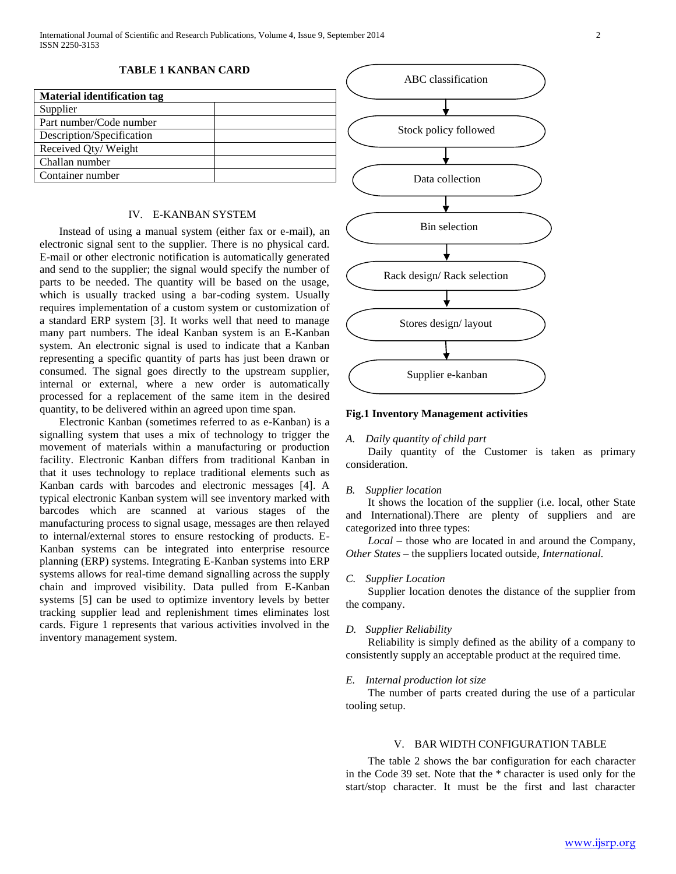| <b>Material identification tag</b> |  |
|------------------------------------|--|
| Supplier                           |  |
| Part number/Code number            |  |
| Description/Specification          |  |
| Received Qty/Weight                |  |
| Challan number                     |  |
| Container number                   |  |

## IV. E-KANBAN SYSTEM

 Instead of using a manual system (either fax or e-mail), an electronic signal sent to the supplier. There is no physical card. E-mail or other electronic notification is automatically generated and send to the supplier; the signal would specify the number of parts to be needed. The quantity will be based on the usage, which is usually tracked using a bar-coding system. Usually requires implementation of a custom system or customization of a standard ERP system [3]. It works well that need to manage many part numbers. The ideal Kanban system is an E-Kanban system. An electronic signal is used to indicate that a Kanban representing a specific quantity of parts has just been drawn or consumed. The signal goes directly to the upstream supplier, internal or external, where a new order is automatically processed for a replacement of the same item in the desired quantity, to be delivered within an agreed upon time span.

 Electronic Kanban (sometimes referred to as e-Kanban) is a signalling system that uses a mix of technology to trigger the movement of materials within a manufacturing or production facility. Electronic Kanban differs from traditional Kanban in that it uses technology to replace traditional elements such as Kanban cards with barcodes and electronic messages [4]. A typical electronic Kanban system will see inventory marked with barcodes which are scanned at various stages of the manufacturing process to signal usage, messages are then relayed to internal/external stores to ensure restocking of products. E-Kanban systems can be integrated into enterprise resource planning (ERP) systems. Integrating E-Kanban systems into ERP systems allows for real-time demand signalling across the supply chain and improved visibility. Data pulled from E-Kanban systems [5] can be used to optimize inventory levels by better tracking supplier lead and replenishment times eliminates lost cards. Figure 1 represents that various activities involved in the inventory management system.



## **Fig.1 Inventory Management activities**

#### *A. Daily quantity of child part*

 Daily quantity of the Customer is taken as primary consideration.

#### *B. Supplier location*

 It shows the location of the supplier (i.e. local, other State and International).There are plenty of suppliers and are categorized into three types:

 *Local* – those who are located in and around the Company, *Other States* – the suppliers located outside, *International.*

#### *C. Supplier Location*

 Supplier location denotes the distance of the supplier from the company.

#### *D. Supplier Reliability*

 Reliability is simply defined as the ability of a company to consistently supply an acceptable product at the required time.

#### *E. Internal production lot size*

 The number of parts created during the use of a particular tooling setup.

#### V. BAR WIDTH CONFIGURATION TABLE

 The table 2 shows the bar configuration for each character in the Code 39 set. Note that the \* character is used only for the start/stop character. It must be the first and last character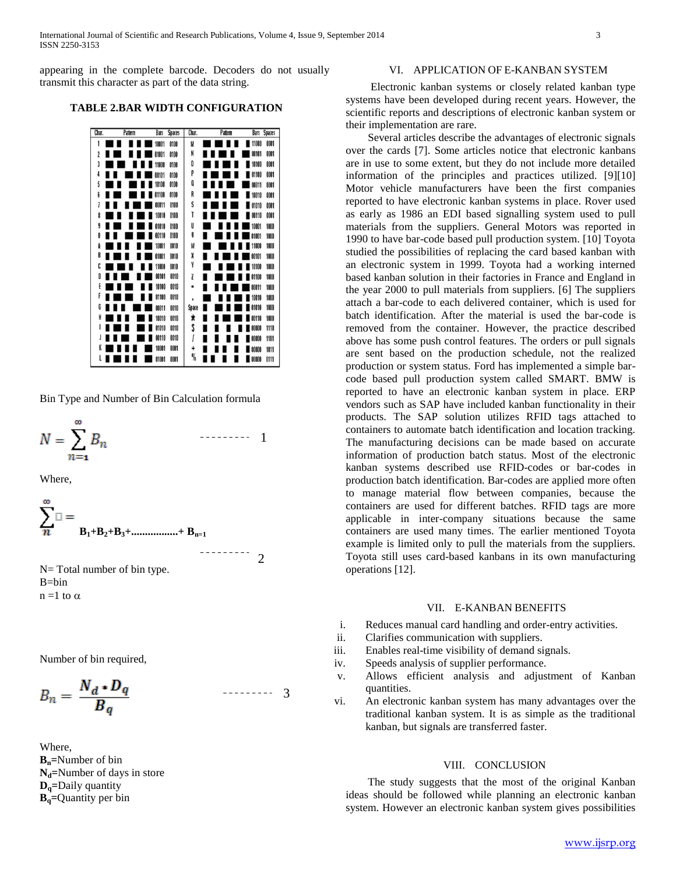appearing in the complete barcode. Decoders do not usually transmit this character as part of the data string.

## **TABLE 2.BAR WIDTH CONFIGURATION**



Bin Type and Number of Bin Calculation formula

$$
N = \sum_{n=1}^{\infty} B_n \qquad \qquad \cdots
$$

1

2

--------

 $-$ -------- 3

Where,

$$
\sum_{n=1}^{\infty} \mathbb{E} = \sum_{B_1 + B_2 + B_3 + \dots + B_{n=1}}
$$

N = Total number of bin type. B=bin  $n = 1$  to  $\alpha$ 

Number of bin required,

$$
B_n = \frac{N_d \cdot D_q}{B_q}
$$

Where, **Bn=**Number of bin **Nd=**Number of days in store **Dq=**Daily quantity **Bq=**Quantity per bin

## VI. APPLICATION OF E-KANBAN SYSTEM

 Electronic kanban systems or closely related kanban type systems have been developed during recent years. However, the scientific reports and descriptions of electronic kanban system or their implementation are rare.

 Several articles describe the advantages of electronic signals over the cards [7]. Some articles notice that electronic kanbans are in use to some extent, but they do not include more detailed information of the principles and practices utilized. [9][10] Motor vehicle manufacturers have been the first companies reported to have electronic kanban systems in place. Rover used as early as 1986 an EDI based signalling system used to pull materials from the suppliers. General Motors was reported in 1990 to have bar-code based pull production system. [10] Toyota studied the possibilities of replacing the card based kanban with an electronic system in 1999. Toyota had a working interned based kanban solution in their factories in France and England in the year 2000 to pull materials from suppliers. [6] The suppliers attach a bar-code to each delivered container, which is used for batch identification. After the material is used the bar-code is removed from the container. However, the practice described above has some push control features. The orders or pull signals are sent based on the production schedule, not the realized production or system status. Ford has implemented a simple barcode based pull production system called SMART. BMW is reported to have an electronic kanban system in place. ERP vendors such as SAP have included kanban functionality in their products. The SAP solution utilizes RFID tags attached to containers to automate batch identification and location tracking. The manufacturing decisions can be made based on accurate information of production batch status. Most of the electronic kanban systems described use RFID-codes or bar-codes in production batch identification. Bar-codes are applied more often to manage material flow between companies, because the containers are used for different batches. RFID tags are more applicable in inter-company situations because the same containers are used many times. The earlier mentioned Toyota example is limited only to pull the materials from the suppliers. Toyota still uses card-based kanbans in its own manufacturing operations [12].

#### VII. E-KANBAN BENEFITS

- i. Reduces manual card handling and order-entry activities.
- ii. Clarifies communication with suppliers.
- iii. Enables real-time visibility of demand signals.
- iv. Speeds analysis of supplier performance.
- v. Allows efficient analysis and adjustment of Kanban quantities.
- vi. An electronic kanban system has many advantages over the traditional kanban system. It is as simple as the traditional kanban, but signals are transferred faster.

## VIII. CONCLUSION

 The study suggests that the most of the original Kanban ideas should be followed while planning an electronic kanban system. However an electronic kanban system gives possibilities